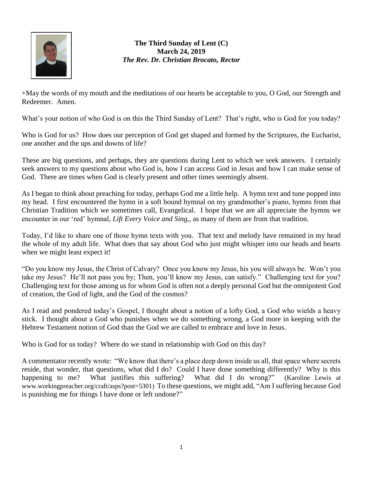

## **The Third Sunday of Lent (C) March 24, 2019** *The Rev. Dr. Christian Brocato, Rector*

+May the words of my mouth and the meditations of our hearts be acceptable to you, O God, our Strength and Redeemer. Amen.

What's your notion of who God is on this the Third Sunday of Lent? That's right, who is God for you today?

Who is God for us? How does our perception of God get shaped and formed by the Scriptures, the Eucharist, one another and the ups and downs of life?

These are big questions, and perhaps, they are questions during Lent to which we seek answers. I certainly seek answers to my questions about who God is, how I can access God in Jesus and how I can make sense of God. There are times when God is clearly present and other times seemingly absent.

As I began to think about preaching for today, perhaps God me a little help. A hymn text and tune popped into my head. I first encountered the hymn in a soft bound hymnal on my grandmother's piano, hymns from that Christian Tradition which we sometimes call, Evangelical. I hope that we are all appreciate the hymns we encounter in our 'red' hymnal, *Lift Every Voice and Sing,*, as many of them are from that tradition.

Today, I'd like to share one of those hymn texts with you. That text and melody have remained in my head the whole of my adult life. What does that say about God who just might whisper into our heads and hearts when we might least expect it!

"Do you know my Jesus, the Christ of Calvary? Once you know my Jesus, his you will always be. Won't you take my Jesus? He'll not pass you by; Then, you'll know my Jesus, can satisfy." Challenging text for you? Challenging text for those among us for whom God is often not a deeply personal God but the omnipotent God of creation, the God of light, and the God of the cosmos?

As I read and pondered today's Gospel, I thought about a notion of a lofty God, a God who wields a heavy stick. I thought about a God who punishes when we do something wrong, a God more in keeping with the Hebrew Testament notion of God than the God we are called to embrace and love in Jesus.

Who is God for us today? Where do we stand in relationship with God on this day?

A commentator recently wrote: "We know that there's a place deep down inside us all, that space where secrets reside, that wonder, that questions, what did I do? Could I have done something differently? Why is this happening to me? What justifies this suffering? What did I do wrong?" (Karoline Lewis at [www.workingpreacher.org/craft/asps?post=5301\)](http://www.workingpreacher.org/craft/asps?post=5301) To these questions, we might add, "Am I suffering because God is punishing me for things I have done or left undone?"